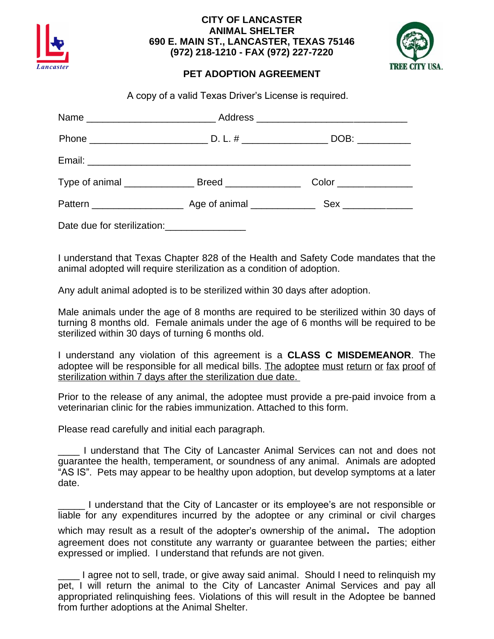

## **CITY OF LANCASTER ANIMAL SHELTER 690 E. MAIN ST., LANCASTER, TEXAS 75146 (972) 218-1210 - FAX (972) 227-7220**



## **PET ADOPTION AGREEMENT**

A copy of a valid Texas Driver's License is required.

|                             | DOB: ___________                                                       |
|-----------------------------|------------------------------------------------------------------------|
|                             |                                                                        |
|                             | $\textsf{Color}\_\_\_\_\_\_\_\_\_\_\_\_\_\_\_\_\_\_\_\_\_\_\_\_\_\_\_$ |
|                             |                                                                        |
| Date due for sterilization: |                                                                        |

I understand that Texas Chapter 828 of the Health and Safety Code mandates that the animal adopted will require sterilization as a condition of adoption.

Any adult animal adopted is to be sterilized within 30 days after adoption.

Male animals under the age of 8 months are required to be sterilized within 30 days of turning 8 months old. Female animals under the age of 6 months will be required to be sterilized within 30 days of turning 6 months old.

I understand any violation of this agreement is a **CLASS C MISDEMEANOR**. The adoptee will be responsible for all medical bills. The adoptee must return or fax proof of sterilization within 7 days after the sterilization due date.

Prior to the release of any animal, the adoptee must provide a pre-paid invoice from a veterinarian clinic for the rabies immunization. Attached to this form.

Please read carefully and initial each paragraph.

\_\_\_\_ I understand that The City of Lancaster Animal Services can not and does not guarantee the health, temperament, or soundness of any animal. Animals are adopted "AS IS". Pets may appear to be healthy upon adoption, but develop symptoms at a later date.

\_\_\_\_\_ I understand that the City of Lancaster or its employee's are not responsible or liable for any expenditures incurred by the adoptee or any criminal or civil charges

which may result as <sup>a</sup> result of the adopter's ownership of the animal. The adoption agreement does not constitute any warranty or guarantee between the parties; either expressed or implied. I understand that refunds are not given.

\_\_\_\_ I agree not to sell, trade, or give away said animal. Should I need to relinquish my pet, I will return the animal to the City of Lancaster Animal Services and pay all appropriated relinquishing fees. Violations of this will result in the Adoptee be banned from further adoptions at the Animal Shelter.